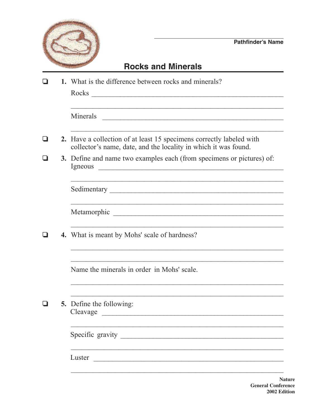

## **Rocks and Minerals**

|        | 1. What is the difference between rocks and minerals?                                                                                    |  |  |
|--------|------------------------------------------------------------------------------------------------------------------------------------------|--|--|
|        | Minerals                                                                                                                                 |  |  |
| $\Box$ | 2. Have a collection of at least 15 specimens correctly labeled with<br>collector's name, date, and the locality in which it was found.  |  |  |
|        | 3. Define and name two examples each (from specimens or pictures) of:<br>Igneous<br><u> 1980 - Jan Barnett, fransk politik (d. 1980)</u> |  |  |
|        |                                                                                                                                          |  |  |
|        |                                                                                                                                          |  |  |
|        | <b>4.</b> What is meant by Mohs' scale of hardness?                                                                                      |  |  |
|        | Name the minerals in order in Mohs' scale.                                                                                               |  |  |
|        | <b>5.</b> Define the following:                                                                                                          |  |  |
|        |                                                                                                                                          |  |  |
|        | Luster<br><u> 1980 - Johann Barn, fransk politik (d. 1980)</u>                                                                           |  |  |

**Nature General Conference** 2002 Edition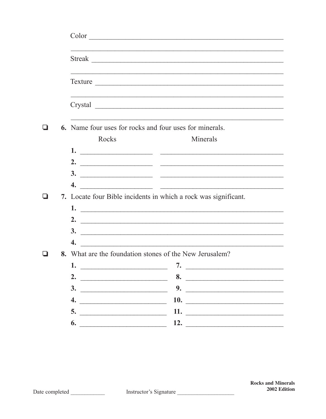|  |                                                         | Color                                                                                                                                                                                                                                                                                                                                                                                                            |  |  |
|--|---------------------------------------------------------|------------------------------------------------------------------------------------------------------------------------------------------------------------------------------------------------------------------------------------------------------------------------------------------------------------------------------------------------------------------------------------------------------------------|--|--|
|  |                                                         | Streak                                                                                                                                                                                                                                                                                                                                                                                                           |  |  |
|  |                                                         |                                                                                                                                                                                                                                                                                                                                                                                                                  |  |  |
|  |                                                         |                                                                                                                                                                                                                                                                                                                                                                                                                  |  |  |
|  | 6. Name four uses for rocks and four uses for minerals. |                                                                                                                                                                                                                                                                                                                                                                                                                  |  |  |
|  | Rocks                                                   | Minerals                                                                                                                                                                                                                                                                                                                                                                                                         |  |  |
|  |                                                         |                                                                                                                                                                                                                                                                                                                                                                                                                  |  |  |
|  |                                                         |                                                                                                                                                                                                                                                                                                                                                                                                                  |  |  |
|  |                                                         |                                                                                                                                                                                                                                                                                                                                                                                                                  |  |  |
|  |                                                         | 4. $\frac{1}{\sqrt{1-\frac{1}{2}}\sqrt{1-\frac{1}{2}}\sqrt{1-\frac{1}{2}}\sqrt{1-\frac{1}{2}}\sqrt{1-\frac{1}{2}}\sqrt{1-\frac{1}{2}}\sqrt{1-\frac{1}{2}}\sqrt{1-\frac{1}{2}}\sqrt{1-\frac{1}{2}}\sqrt{1-\frac{1}{2}}\sqrt{1-\frac{1}{2}}\sqrt{1-\frac{1}{2}}\sqrt{1-\frac{1}{2}}\sqrt{1-\frac{1}{2}}\sqrt{1-\frac{1}{2}}\sqrt{1-\frac{1}{2}}\sqrt{1-\frac{1}{2}}\sqrt{1-\frac{1}{2}}\sqrt{1-\frac{1}{2}}\sqrt{$ |  |  |
|  |                                                         | 7. Locate four Bible incidents in which a rock was significant.                                                                                                                                                                                                                                                                                                                                                  |  |  |
|  |                                                         |                                                                                                                                                                                                                                                                                                                                                                                                                  |  |  |
|  |                                                         |                                                                                                                                                                                                                                                                                                                                                                                                                  |  |  |
|  |                                                         |                                                                                                                                                                                                                                                                                                                                                                                                                  |  |  |
|  | 4.                                                      | $\frac{3}{2}$                                                                                                                                                                                                                                                                                                                                                                                                    |  |  |
|  |                                                         | 8. What are the foundation stones of the New Jerusalem?                                                                                                                                                                                                                                                                                                                                                          |  |  |
|  |                                                         |                                                                                                                                                                                                                                                                                                                                                                                                                  |  |  |
|  |                                                         | $\overline{\phantom{a}}$                                                                                                                                                                                                                                                                                                                                                                                         |  |  |
|  | 2. $\qquad \qquad$                                      | 8.                                                                                                                                                                                                                                                                                                                                                                                                               |  |  |
|  |                                                         |                                                                                                                                                                                                                                                                                                                                                                                                                  |  |  |
|  |                                                         |                                                                                                                                                                                                                                                                                                                                                                                                                  |  |  |
|  |                                                         |                                                                                                                                                                                                                                                                                                                                                                                                                  |  |  |
|  |                                                         |                                                                                                                                                                                                                                                                                                                                                                                                                  |  |  |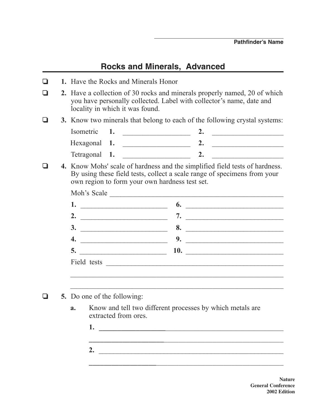## **Rocks and Minerals, Advanced**

|  | 1. Have the Rocks and Minerals Honor                                                                                                                                                                      |                                                                                                                                                   |  |  |
|--|-----------------------------------------------------------------------------------------------------------------------------------------------------------------------------------------------------------|---------------------------------------------------------------------------------------------------------------------------------------------------|--|--|
|  | locality in which it was found.                                                                                                                                                                           | 2. Have a collection of 30 rocks and minerals properly named, 20 of which<br>you have personally collected. Label with collector's name, date and |  |  |
|  |                                                                                                                                                                                                           | 3. Know two minerals that belong to each of the following crystal systems:                                                                        |  |  |
|  | Isometric<br>1.                                                                                                                                                                                           |                                                                                                                                                   |  |  |
|  |                                                                                                                                                                                                           | 2. $\qquad \qquad$                                                                                                                                |  |  |
|  | Tetragonal 1.                                                                                                                                                                                             |                                                                                                                                                   |  |  |
|  | 4. Know Mohs' scale of hardness and the simplified field tests of hardness.<br>By using these field tests, collect a scale range of specimens from your<br>own region to form your own hardness test set. |                                                                                                                                                   |  |  |
|  |                                                                                                                                                                                                           |                                                                                                                                                   |  |  |
|  |                                                                                                                                                                                                           |                                                                                                                                                   |  |  |
|  |                                                                                                                                                                                                           |                                                                                                                                                   |  |  |
|  |                                                                                                                                                                                                           |                                                                                                                                                   |  |  |
|  |                                                                                                                                                                                                           |                                                                                                                                                   |  |  |
|  |                                                                                                                                                                                                           |                                                                                                                                                   |  |  |
|  |                                                                                                                                                                                                           |                                                                                                                                                   |  |  |
|  |                                                                                                                                                                                                           |                                                                                                                                                   |  |  |
|  |                                                                                                                                                                                                           |                                                                                                                                                   |  |  |
|  | <b>5.</b> Do one of the following:                                                                                                                                                                        |                                                                                                                                                   |  |  |
|  | <b>a.</b> Know and tell two different processes by which metals are<br>extracted from ores.<br>1.                                                                                                         |                                                                                                                                                   |  |  |
|  |                                                                                                                                                                                                           |                                                                                                                                                   |  |  |
|  | 2.                                                                                                                                                                                                        | <u> 1990 - Jan James James James James James James James James James James James James James James James James J</u>                              |  |  |
|  |                                                                                                                                                                                                           |                                                                                                                                                   |  |  |

**Nature General Conference 2002 Edition**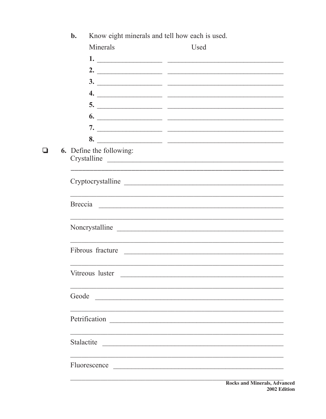|   | $b$ .                                          | Know eight minerals and tell how each is used. |  |                                                                                                                                                                                                                                |                                                                                                                                                                                                                                                                                                                                                                                      |
|---|------------------------------------------------|------------------------------------------------|--|--------------------------------------------------------------------------------------------------------------------------------------------------------------------------------------------------------------------------------|--------------------------------------------------------------------------------------------------------------------------------------------------------------------------------------------------------------------------------------------------------------------------------------------------------------------------------------------------------------------------------------|
|   |                                                | Minerals                                       |  | Used                                                                                                                                                                                                                           |                                                                                                                                                                                                                                                                                                                                                                                      |
|   |                                                |                                                |  |                                                                                                                                                                                                                                |                                                                                                                                                                                                                                                                                                                                                                                      |
|   |                                                |                                                |  |                                                                                                                                                                                                                                | 2. $\overline{\phantom{a}}$                                                                                                                                                                                                                                                                                                                                                          |
|   |                                                |                                                |  |                                                                                                                                                                                                                                | $\frac{3.}{2}$                                                                                                                                                                                                                                                                                                                                                                       |
|   |                                                |                                                |  |                                                                                                                                                                                                                                | $\overline{4.}$                                                                                                                                                                                                                                                                                                                                                                      |
|   |                                                |                                                |  |                                                                                                                                                                                                                                |                                                                                                                                                                                                                                                                                                                                                                                      |
|   |                                                |                                                |  |                                                                                                                                                                                                                                |                                                                                                                                                                                                                                                                                                                                                                                      |
|   |                                                |                                                |  |                                                                                                                                                                                                                                |                                                                                                                                                                                                                                                                                                                                                                                      |
|   |                                                |                                                |  |                                                                                                                                                                                                                                |                                                                                                                                                                                                                                                                                                                                                                                      |
| ❏ | <b>6.</b> Define the following:<br>Crystalline |                                                |  |                                                                                                                                                                                                                                |                                                                                                                                                                                                                                                                                                                                                                                      |
|   |                                                |                                                |  |                                                                                                                                                                                                                                | Cryptocrystalline                                                                                                                                                                                                                                                                                                                                                                    |
|   |                                                |                                                |  |                                                                                                                                                                                                                                | ,我们也不能在这里的时候,我们也不能在这里的时候,我们也不能在这里的时候,我们也不能会在这里的时候,我们也不能会在这里的时候,我们也不能会在这里的时候,我们也不<br>Breccia en anos en la construcción de la construcción de la construcción de la construcción de la construcción                                                                                                                                                                                   |
|   |                                                |                                                |  |                                                                                                                                                                                                                                | Noncrystalline                                                                                                                                                                                                                                                                                                                                                                       |
|   |                                                |                                                |  |                                                                                                                                                                                                                                | Fibrous fracture                                                                                                                                                                                                                                                                                                                                                                     |
|   |                                                | Vitreous luster                                |  | <u> 1980 - Jan Barnett, fransk politiker (d. 1980)</u>                                                                                                                                                                         |                                                                                                                                                                                                                                                                                                                                                                                      |
|   | Geode                                          |                                                |  | <u> 1989 - Johann Stoff, deutscher Stoffen und der Stoffen und der Stoffen und der Stoffen und der Stoffen und der </u>                                                                                                        |                                                                                                                                                                                                                                                                                                                                                                                      |
|   |                                                |                                                |  |                                                                                                                                                                                                                                |                                                                                                                                                                                                                                                                                                                                                                                      |
|   | Stalactite                                     |                                                |  |                                                                                                                                                                                                                                |                                                                                                                                                                                                                                                                                                                                                                                      |
|   |                                                |                                                |  | Fluorescence Latin and the contract of the contract of the contract of the contract of the contract of the contract of the contract of the contract of the contract of the contract of the contract of the contract of the con |                                                                                                                                                                                                                                                                                                                                                                                      |
|   |                                                |                                                |  |                                                                                                                                                                                                                                | $\overline{p}$ $\overline{p}$ $\overline{p}$ $\overline{p}$ $\overline{p}$ $\overline{p}$ $\overline{p}$ $\overline{p}$ $\overline{p}$ $\overline{p}$ $\overline{p}$ $\overline{p}$ $\overline{p}$ $\overline{p}$ $\overline{p}$ $\overline{p}$ $\overline{p}$ $\overline{p}$ $\overline{p}$ $\overline{p}$ $\overline{p}$ $\overline{p}$ $\overline{p}$ $\overline{p}$ $\overline{$ |